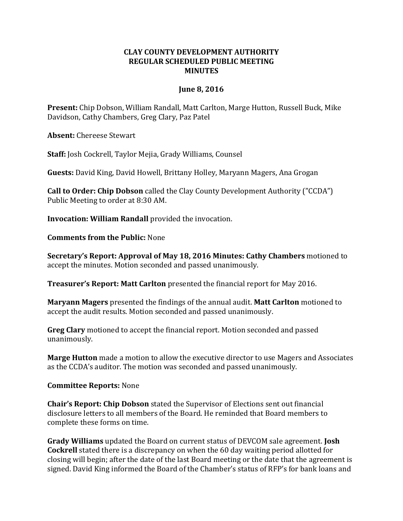## **CLAY COUNTY DEVELOPMENT AUTHORITY REGULAR SCHEDULED PUBLIC MEETING MINUTES**

## **June 8, 2016**

**Present:** Chip Dobson, William Randall, Matt Carlton, Marge Hutton, Russell Buck, Mike Davidson, Cathy Chambers, Greg Clary, Paz Patel

**Absent:** Chereese Stewart

**Staff:** Josh Cockrell, Taylor Mejia, Grady Williams, Counsel

**Guests:** David King, David Howell, Brittany Holley, Maryann Magers, Ana Grogan

**Call to Order: Chip Dobson** called the Clay County Development Authority ("CCDA") Public Meeting to order at 8:30 AM.

**Invocation: William Randall** provided the invocation.

**Comments from the Public:** None

**Secretary's Report: Approval of May 18, 2016 Minutes: Cathy Chambers** motioned to accept the minutes. Motion seconded and passed unanimously.

**Treasurer's Report: Matt Carlton** presented the financial report for May 2016.

**Maryann Magers** presented the findings of the annual audit. **Matt Carlton** motioned to accept the audit results. Motion seconded and passed unanimously.

**Greg Clary** motioned to accept the financial report. Motion seconded and passed unanimously.

**Marge Hutton** made a motion to allow the executive director to use Magers and Associates as the CCDA's auditor. The motion was seconded and passed unanimously.

**Committee Reports:** None

**Chair's Report: Chip Dobson** stated the Supervisor of Elections sent out financial disclosure letters to all members of the Board. He reminded that Board members to complete these forms on time.

**Grady Williams** updated the Board on current status of DEVCOM sale agreement. **Josh Cockrell** stated there is a discrepancy on when the 60 day waiting period allotted for closing will begin; after the date of the last Board meeting or the date that the agreement is signed. David King informed the Board of the Chamber's status of RFP's for bank loans and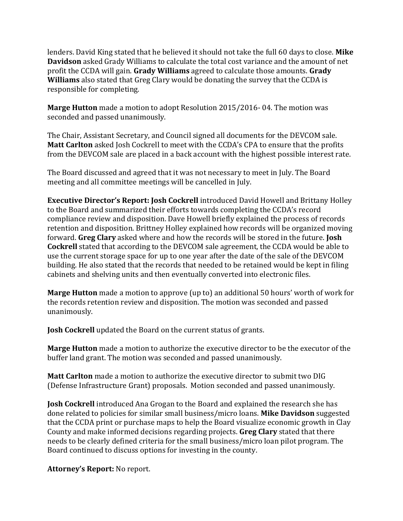lenders. David King stated that he believed it should not take the full 60 days to close. **Mike Davidson** asked Grady Williams to calculate the total cost variance and the amount of net profit the CCDA will gain. **Grady Williams** agreed to calculate those amounts. **Grady Williams** also stated that Greg Clary would be donating the survey that the CCDA is responsible for completing.

**Marge Hutton** made a motion to adopt Resolution 2015/2016- 04. The motion was seconded and passed unanimously.

The Chair, Assistant Secretary, and Council signed all documents for the DEVCOM sale. **Matt Carlton** asked Josh Cockrell to meet with the CCDA's CPA to ensure that the profits from the DEVCOM sale are placed in a back account with the highest possible interest rate.

The Board discussed and agreed that it was not necessary to meet in July. The Board meeting and all committee meetings will be cancelled in July.

**Executive Director's Report: Josh Cockrell** introduced David Howell and Brittany Holley to the Board and summarized their efforts towards completing the CCDA's record compliance review and disposition. Dave Howell briefly explained the process of records retention and disposition. Brittney Holley explained how records will be organized moving forward. **Greg Clary** asked where and how the records will be stored in the future. **Josh Cockrell** stated that according to the DEVCOM sale agreement, the CCDA would be able to use the current storage space for up to one year after the date of the sale of the DEVCOM building. He also stated that the records that needed to be retained would be kept in filing cabinets and shelving units and then eventually converted into electronic files.

**Marge Hutton** made a motion to approve (up to) an additional 50 hours' worth of work for the records retention review and disposition. The motion was seconded and passed unanimously.

**Josh Cockrell** updated the Board on the current status of grants.

**Marge Hutton** made a motion to authorize the executive director to be the executor of the buffer land grant. The motion was seconded and passed unanimously.

**Matt Carlton** made a motion to authorize the executive director to submit two DIG (Defense Infrastructure Grant) proposals. Motion seconded and passed unanimously.

**Josh Cockrell** introduced Ana Grogan to the Board and explained the research she has done related to policies for similar small business/micro loans. **Mike Davidson** suggested that the CCDA print or purchase maps to help the Board visualize economic growth in Clay County and make informed decisions regarding projects. **Greg Clary** stated that there needs to be clearly defined criteria for the small business/micro loan pilot program. The Board continued to discuss options for investing in the county.

**Attorney's Report:** No report.